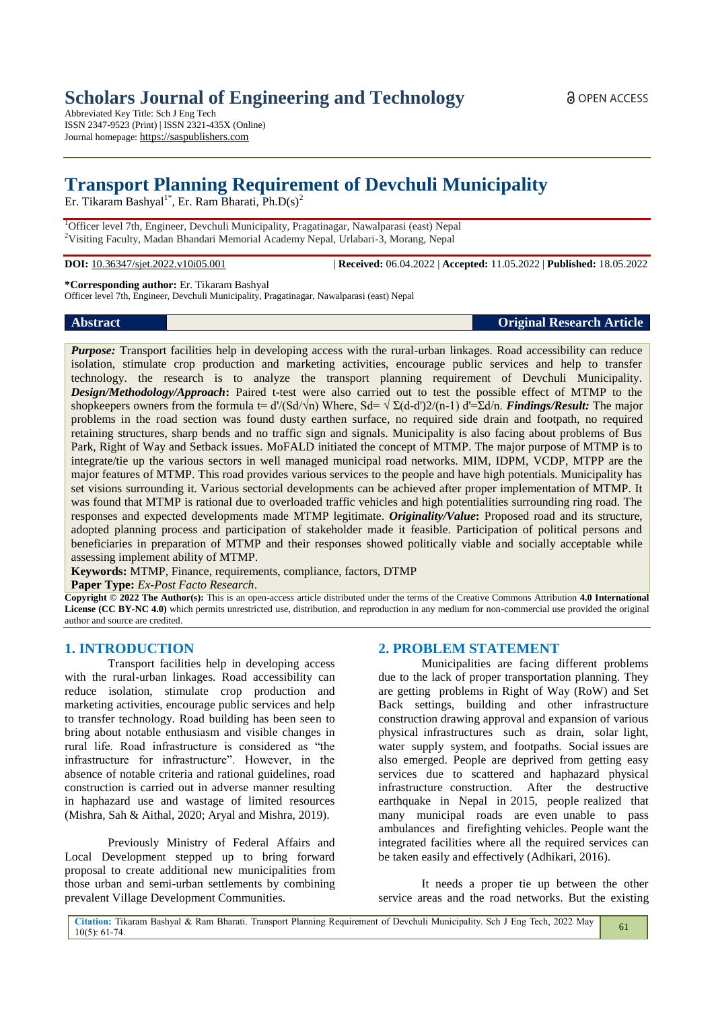Abbreviated Key Title: Sch J Eng Tech ISSN 2347-9523 (Print) | ISSN 2321-435X (Online) Journal homepage: https://saspublishers.com

# **Transport Planning Requirement of Devchuli Municipality**

Er. Tikaram Bashyal<sup>1\*</sup>, Er. Ram Bharati, Ph.D(s)<sup>2</sup>

<sup>1</sup>Officer level 7th, Engineer, Devchuli Municipality, Pragatinagar, Nawalparasi (east) Nepal <sup>2</sup>Visiting Faculty, Madan Bhandari Memorial Academy Nepal, Urlabari-3, Morang, Nepal

**DOI:** 10.36347/sjet.2022.v10i05.001 | **Received:** 06.04.2022 | **Accepted:** 11.05.2022 | **Published:** 18.05.2022

#### **\*Corresponding author:** Er. Tikaram Bashyal

Officer level 7th, Engineer, Devchuli Municipality, Pragatinagar, Nawalparasi (east) Nepal

**Abstract Original Research Article**

*Purpose:* Transport facilities help in developing access with the rural-urban linkages. Road accessibility can reduce isolation, stimulate crop production and marketing activities, encourage public services and help to transfer technology. the research is to analyze the transport planning requirement of Devchuli Municipality. *Design/Methodology/Approach***:** Paired t-test were also carried out to test the possible effect of MTMP to the shopkeepers owners from the formula t=  $d'(Sd\sqrt{n})$  Where,  $Sd=\sqrt{\Sigma(d-d')2/(n-1)}$   $d'=\Sigma d/n$ . *Findings/Result:* The major problems in the road section was found dusty earthen surface, no required side drain and footpath, no required retaining structures, sharp bends and no traffic sign and signals. Municipality is also facing about problems of Bus Park, Right of Way and Setback issues. MoFALD initiated the concept of MTMP. The major purpose of MTMP is to integrate/tie up the various sectors in well managed municipal road networks. MIM, IDPM, VCDP, MTPP are the major features of MTMP. This road provides various services to the people and have high potentials. Municipality has set visions surrounding it. Various sectorial developments can be achieved after proper implementation of MTMP. It was found that MTMP is rational due to overloaded traffic vehicles and high potentialities surrounding ring road. The responses and expected developments made MTMP legitimate. *Originality/Value***:** Proposed road and its structure, adopted planning process and participation of stakeholder made it feasible. Participation of political persons and beneficiaries in preparation of MTMP and their responses showed politically viable and socially acceptable while assessing implement ability of MTMP.

**Keywords:** MTMP, Finance, requirements, compliance, factors, DTMP

**Paper Type:** *Ex-Post Facto Research*.

**Copyright © 2022 The Author(s):** This is an open-access article distributed under the terms of the Creative Commons Attribution **4.0 International License (CC BY-NC 4.0)** which permits unrestricted use, distribution, and reproduction in any medium for non-commercial use provided the original author and source are credited.

## **1. INTRODUCTION**

Transport facilities help in developing access with the rural-urban linkages. Road accessibility can reduce isolation, stimulate crop production and marketing activities, encourage public services and help to transfer technology. Road building has been seen to bring about notable enthusiasm and visible changes in rural life. Road infrastructure is considered as "the infrastructure for infrastructure". However, in the absence of notable criteria and rational guidelines, road construction is carried out in adverse manner resulting in haphazard use and wastage of limited resources (Mishra, Sah & Aithal, 2020; Aryal and Mishra, 2019).

Previously Ministry of Federal Affairs and Local Development stepped up to bring forward proposal to create additional new municipalities from those urban and semi-urban settlements by combining prevalent Village Development Communities.

## **2. PROBLEM STATEMENT**

Municipalities are facing different problems due to the lack of proper transportation planning. They are getting problems in Right of Way (RoW) and Set Back settings, building and other infrastructure construction drawing approval and expansion of various physical infrastructures such as drain, solar light, water supply system, and footpaths. Social issues are also emerged. People are deprived from getting easy services due to scattered and haphazard physical infrastructure construction. After the destructive earthquake in Nepal in 2015, people realized that many municipal roads are even unable to pass ambulances and firefighting vehicles. People want the integrated facilities where all the required services can be taken easily and effectively (Adhikari, 2016).

It needs a proper tie up between the other service areas and the road networks. But the existing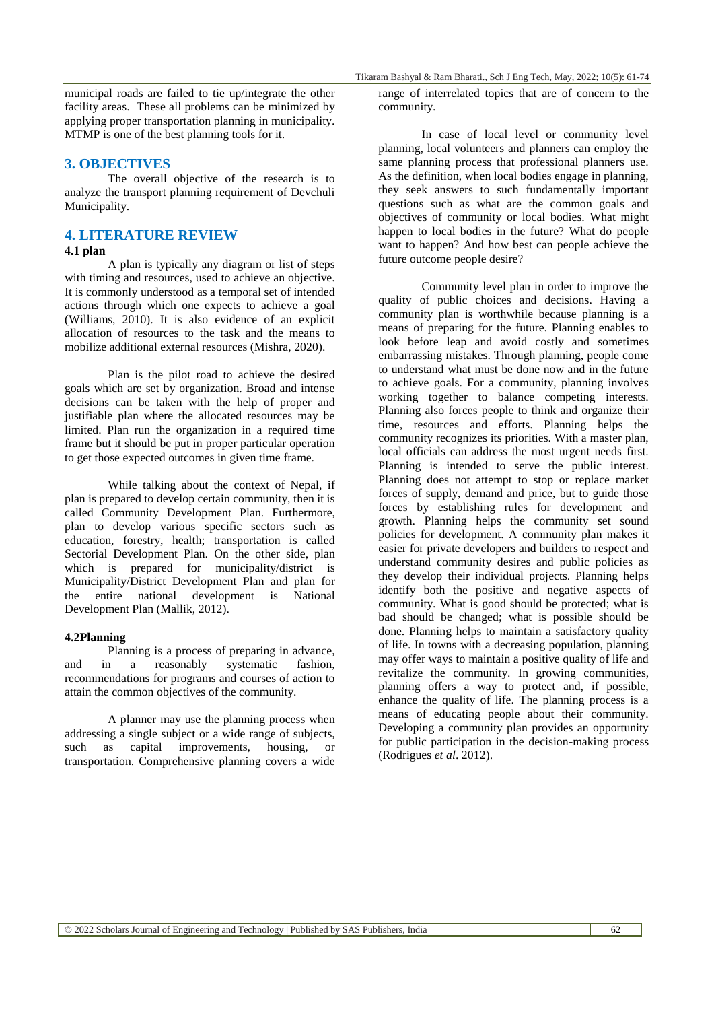municipal roads are failed to tie up/integrate the other facility areas. These all problems can be minimized by applying proper transportation planning in municipality. MTMP is one of the best planning tools for it.

#### **3. OBJECTIVES**

The overall objective of the research is to analyze the transport planning requirement of Devchuli Municipality.

## **4. LITERATURE REVIEW**

#### **4.1 plan**

A plan is typically any diagram or list of steps with timing and resources, used to achieve an objective. It is commonly understood as a temporal set of intended actions through which one expects to achieve a goal (Williams, 2010). It is also evidence of an explicit allocation of resources to the task and the means to mobilize additional external resources (Mishra, 2020).

Plan is the pilot road to achieve the desired goals which are set by organization. Broad and intense decisions can be taken with the help of proper and justifiable plan where the allocated resources may be limited. Plan run the organization in a required time frame but it should be put in proper particular operation to get those expected outcomes in given time frame.

While talking about the context of Nepal, if plan is prepared to develop certain community, then it is called Community Development Plan. Furthermore, plan to develop various specific sectors such as education, forestry, health; transportation is called Sectorial Development Plan. On the other side, plan which is prepared for municipality/district is Municipality/District Development Plan and plan for the entire national development is National Development Plan (Mallik, 2012).

#### **4.2Planning**

Planning is a process of preparing in advance, and in a reasonably systematic fashion, recommendations for programs and courses of action to attain the common objectives of the community.

A planner may use the planning process when addressing a single subject or a wide range of subjects, such as capital improvements, housing, or transportation. Comprehensive planning covers a wide range of interrelated topics that are of concern to the community.

In case of local level or community level planning, local volunteers and planners can employ the same planning process that professional planners use. As the definition, when local bodies engage in planning, they seek answers to such fundamentally important questions such as what are the common goals and objectives of community or local bodies. What might happen to local bodies in the future? What do people want to happen? And how best can people achieve the future outcome people desire?

Community level plan in order to improve the quality of public choices and decisions. Having a community plan is worthwhile because planning is a means of preparing for the future. Planning enables to look before leap and avoid costly and sometimes embarrassing mistakes. Through planning, people come to understand what must be done now and in the future to achieve goals. For a community, planning involves working together to balance competing interests. Planning also forces people to think and organize their time, resources and efforts. Planning helps the community recognizes its priorities. With a master plan, local officials can address the most urgent needs first. Planning is intended to serve the public interest. Planning does not attempt to stop or replace market forces of supply, demand and price, but to guide those forces by establishing rules for development and growth. Planning helps the community set sound policies for development. A community plan makes it easier for private developers and builders to respect and understand community desires and public policies as they develop their individual projects. Planning helps identify both the positive and negative aspects of community. What is good should be protected; what is bad should be changed; what is possible should be done. Planning helps to maintain a satisfactory quality of life. In towns with a decreasing population, planning may offer ways to maintain a positive quality of life and revitalize the community. In growing communities, planning offers a way to protect and, if possible, enhance the quality of life. The planning process is a means of educating people about their community. Developing a community plan provides an opportunity for public participation in the decision-making process (Rodrigues *et al*. 2012).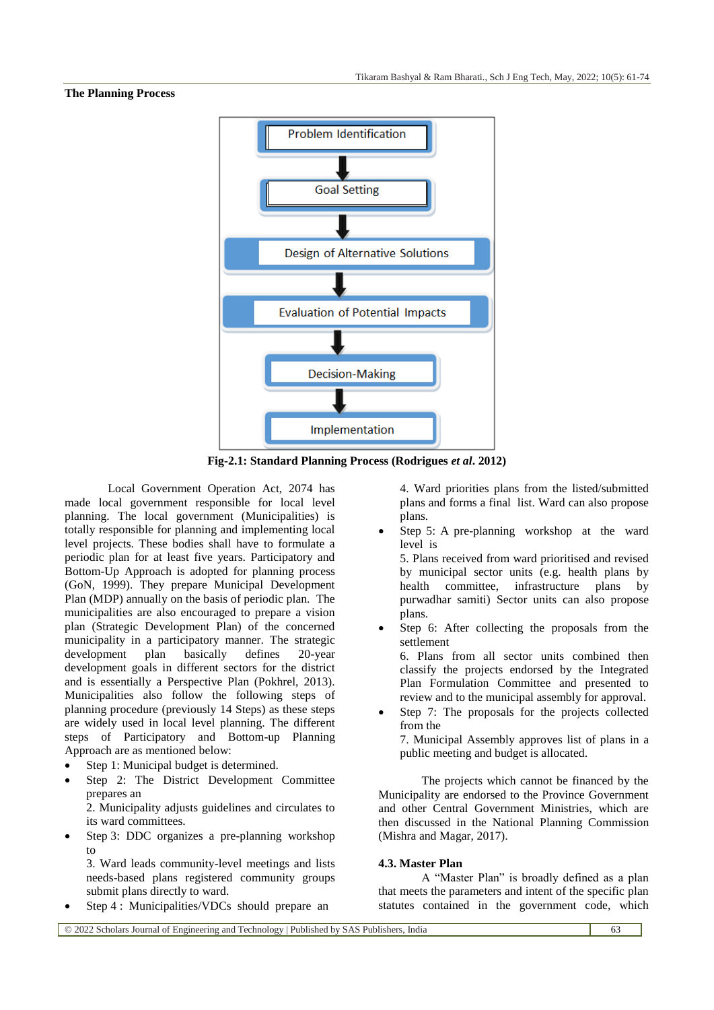#### **The Planning Process**



**Fig-2.1: Standard Planning Process (Rodrigues** *et al***. 2012)**

Local Government Operation Act, 2074 has made local government responsible for local level planning. The local government (Municipalities) is totally responsible for planning and implementing local level projects. These bodies shall have to formulate a periodic plan for at least five years. Participatory and Bottom-Up Approach is adopted for planning process (GoN, 1999). They prepare Municipal Development Plan (MDP) annually on the basis of periodic plan. The municipalities are also encouraged to prepare a vision plan (Strategic Development Plan) of the concerned municipality in a participatory manner. The strategic<br>development plan basically defines 20-vear development plan basically defines 20-year development goals in different sectors for the district and is essentially a Perspective Plan (Pokhrel, 2013). Municipalities also follow the following steps of planning procedure (previously 14 Steps) as these steps are widely used in local level planning. The different steps of Participatory and Bottom-up Planning Approach are as mentioned below:

- Step 1: Municipal budget is determined.
- Step 2: The District Development Committee prepares an

2. Municipality adjusts guidelines and circulates to its ward committees.

 Step 3: DDC organizes a pre-planning workshop  $t_0$ 

3. Ward leads community-level meetings and lists needs-based plans registered community groups submit plans directly to ward.

Step 4 : Municipalities/VDCs should prepare an

4. Ward priorities plans from the listed/submitted plans and forms a final list. Ward can also propose plans.

 Step 5: A pre-planning workshop at the ward level is

5. Plans received from ward prioritised and revised by municipal sector units (e.g. health plans by health committee, infrastructure plans by purwadhar samiti) Sector units can also propose plans.

 Step 6: After collecting the proposals from the settlement

6. Plans from all sector units combined then classify the projects endorsed by the Integrated Plan Formulation Committee and presented to review and to the municipal assembly for approval.

 Step 7: The proposals for the projects collected from the

7. Municipal Assembly approves list of plans in a public meeting and budget is allocated.

The projects which cannot be financed by the Municipality are endorsed to the Province Government and other Central Government Ministries, which are then discussed in the National Planning Commission (Mishra and Magar, 2017).

#### **4.3. Master Plan**

A "Master Plan" is broadly defined as a plan that meets the parameters and intent of the specific plan statutes contained in the government code, which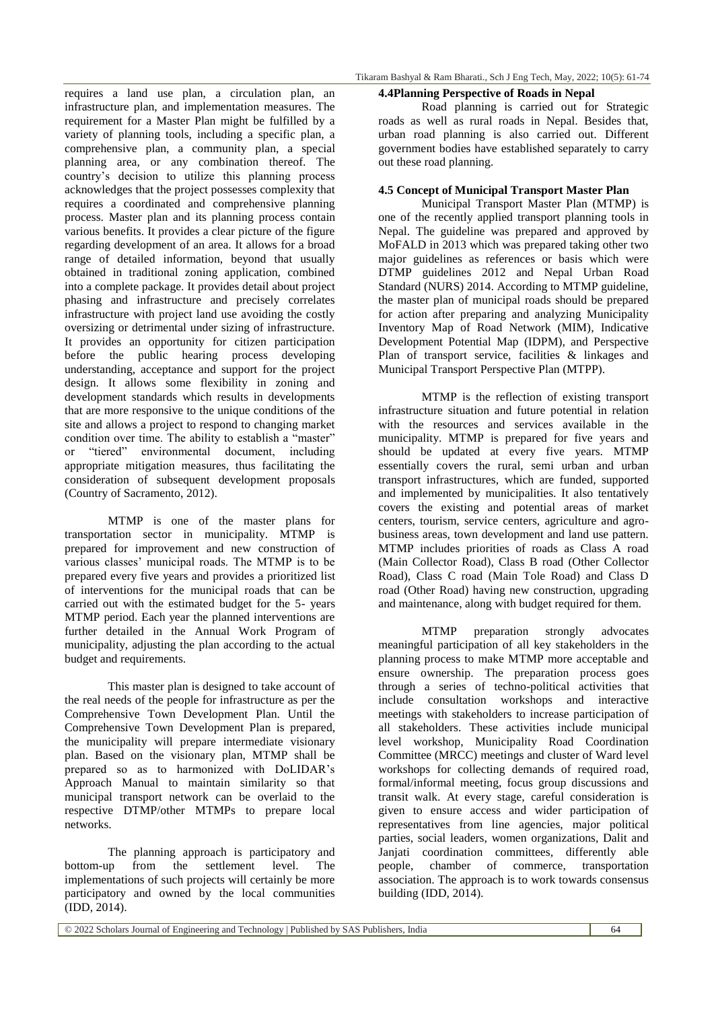requires a land use plan, a circulation plan, an infrastructure plan, and implementation measures. The requirement for a Master Plan might be fulfilled by a variety of planning tools, including a specific plan, a comprehensive plan, a community plan, a special planning area, or any combination thereof. The country's decision to utilize this planning process acknowledges that the project possesses complexity that requires a coordinated and comprehensive planning process. Master plan and its planning process contain various benefits. It provides a clear picture of the figure regarding development of an area. It allows for a broad range of detailed information, beyond that usually obtained in traditional zoning application, combined into a complete package. It provides detail about project phasing and infrastructure and precisely correlates infrastructure with project land use avoiding the costly oversizing or detrimental under sizing of infrastructure. It provides an opportunity for citizen participation before the public hearing process developing understanding, acceptance and support for the project design. It allows some flexibility in zoning and development standards which results in developments that are more responsive to the unique conditions of the site and allows a project to respond to changing market condition over time. The ability to establish a "master" or "tiered" environmental document, including appropriate mitigation measures, thus facilitating the consideration of subsequent development proposals (Country of Sacramento, 2012).

MTMP is one of the master plans for transportation sector in municipality. MTMP is prepared for improvement and new construction of various classes' municipal roads. The MTMP is to be prepared every five years and provides a prioritized list of interventions for the municipal roads that can be carried out with the estimated budget for the 5- years MTMP period. Each year the planned interventions are further detailed in the Annual Work Program of municipality, adjusting the plan according to the actual budget and requirements.

This master plan is designed to take account of the real needs of the people for infrastructure as per the Comprehensive Town Development Plan. Until the Comprehensive Town Development Plan is prepared, the municipality will prepare intermediate visionary plan. Based on the visionary plan, MTMP shall be prepared so as to harmonized with DoLIDAR's Approach Manual to maintain similarity so that municipal transport network can be overlaid to the respective DTMP/other MTMPs to prepare local networks.

The planning approach is participatory and bottom-up from the settlement level. The implementations of such projects will certainly be more participatory and owned by the local communities (IDD, 2014).

#### **4.4Planning Perspective of Roads in Nepal**

Road planning is carried out for Strategic roads as well as rural roads in Nepal. Besides that, urban road planning is also carried out. Different government bodies have established separately to carry out these road planning.

## **4.5 Concept of Municipal Transport Master Plan**

Municipal Transport Master Plan (MTMP) is one of the recently applied transport planning tools in Nepal. The guideline was prepared and approved by MoFALD in 2013 which was prepared taking other two major guidelines as references or basis which were DTMP guidelines 2012 and Nepal Urban Road Standard (NURS) 2014. According to MTMP guideline, the master plan of municipal roads should be prepared for action after preparing and analyzing Municipality Inventory Map of Road Network (MIM), Indicative Development Potential Map (IDPM), and Perspective Plan of transport service, facilities & linkages and Municipal Transport Perspective Plan (MTPP).

MTMP is the reflection of existing transport infrastructure situation and future potential in relation with the resources and services available in the municipality. MTMP is prepared for five years and should be updated at every five years. MTMP essentially covers the rural, semi urban and urban transport infrastructures, which are funded, supported and implemented by municipalities. It also tentatively covers the existing and potential areas of market centers, tourism, service centers, agriculture and agrobusiness areas, town development and land use pattern. MTMP includes priorities of roads as Class A road (Main Collector Road), Class B road (Other Collector Road), Class C road (Main Tole Road) and Class D road (Other Road) having new construction, upgrading and maintenance, along with budget required for them.

MTMP preparation strongly advocates meaningful participation of all key stakeholders in the planning process to make MTMP more acceptable and ensure ownership. The preparation process goes through a series of techno-political activities that include consultation workshops and interactive meetings with stakeholders to increase participation of all stakeholders. These activities include municipal level workshop, Municipality Road Coordination Committee (MRCC) meetings and cluster of Ward level workshops for collecting demands of required road, formal/informal meeting, focus group discussions and transit walk. At every stage, careful consideration is given to ensure access and wider participation of representatives from line agencies, major political parties, social leaders, women organizations, Dalit and Janiati coordination committees, differently able people, chamber of commerce, transportation association. The approach is to work towards consensus building (IDD, 2014).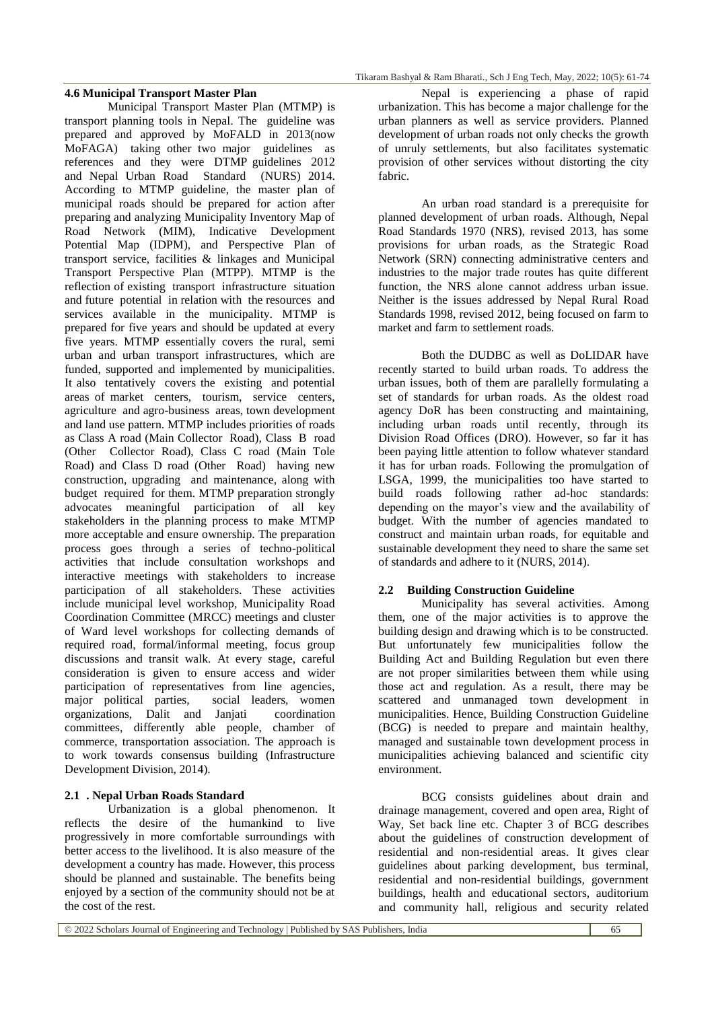#### **4.6 Municipal Transport Master Plan**

Municipal Transport Master Plan (MTMP) is transport planning tools in Nepal. The guideline was prepared and approved by MoFALD in 2013(now MoFAGA) taking other two major guidelines as references and they were DTMP guidelines 2012 and Nepal Urban Road Standard (NURS) 2014. According to MTMP guideline, the master plan of municipal roads should be prepared for action after preparing and analyzing Municipality Inventory Map of Road Network (MIM), Indicative Development Potential Map (IDPM), and Perspective Plan of transport service, facilities & linkages and Municipal Transport Perspective Plan (MTPP). MTMP is the reflection of existing transport infrastructure situation and future potential in relation with the resources and services available in the municipality. MTMP is prepared for five years and should be updated at every five years. MTMP essentially covers the rural, semi urban and urban transport infrastructures, which are funded, supported and implemented by municipalities. It also tentatively covers the existing and potential areas of market centers, tourism, service centers, agriculture and agro-business areas, town development and land use pattern. MTMP includes priorities of roads as Class A road (Main Collector Road), Class B road (Other Collector Road), Class C road (Main Tole Road) and Class D road (Other Road) having new construction, upgrading and maintenance, along with budget required for them. MTMP preparation strongly advocates meaningful participation of all key stakeholders in the planning process to make MTMP more acceptable and ensure ownership. The preparation process goes through a series of techno-political activities that include consultation workshops and interactive meetings with stakeholders to increase participation of all stakeholders. These activities include municipal level workshop, Municipality Road Coordination Committee (MRCC) meetings and cluster of Ward level workshops for collecting demands of required road, formal/informal meeting, focus group discussions and transit walk. At every stage, careful consideration is given to ensure access and wider participation of representatives from line agencies, major political parties, social leaders, women organizations, Dalit and Janjati coordination committees, differently able people, chamber of commerce, transportation association. The approach is to work towards consensus building (Infrastructure Development Division, 2014).

#### **2.1 . Nepal Urban Roads Standard**

Urbanization is a global phenomenon. It reflects the desire of the humankind to live progressively in more comfortable surroundings with better access to the livelihood. It is also measure of the development a country has made. However, this process should be planned and sustainable. The benefits being enjoyed by a section of the community should not be at the cost of the rest.

Nepal is experiencing a phase of rapid urbanization. This has become a major challenge for the urban planners as well as service providers. Planned development of urban roads not only checks the growth of unruly settlements, but also facilitates systematic provision of other services without distorting the city fabric.

An urban road standard is a prerequisite for planned development of urban roads. Although, Nepal Road Standards 1970 (NRS), revised 2013, has some provisions for urban roads, as the Strategic Road Network (SRN) connecting administrative centers and industries to the major trade routes has quite different function, the NRS alone cannot address urban issue. Neither is the issues addressed by Nepal Rural Road Standards 1998, revised 2012, being focused on farm to market and farm to settlement roads.

Both the DUDBC as well as DoLIDAR have recently started to build urban roads. To address the urban issues, both of them are parallelly formulating a set of standards for urban roads. As the oldest road agency DoR has been constructing and maintaining, including urban roads until recently, through its Division Road Offices (DRO). However, so far it has been paying little attention to follow whatever standard it has for urban roads. Following the promulgation of LSGA, 1999, the municipalities too have started to build roads following rather ad-hoc standards: depending on the mayor's view and the availability of budget. With the number of agencies mandated to construct and maintain urban roads, for equitable and sustainable development they need to share the same set of standards and adhere to it (NURS, 2014).

#### **2.2 Building Construction Guideline**

Municipality has several activities. Among them, one of the major activities is to approve the building design and drawing which is to be constructed. But unfortunately few municipalities follow the Building Act and Building Regulation but even there are not proper similarities between them while using those act and regulation. As a result, there may be scattered and unmanaged town development in municipalities. Hence, Building Construction Guideline (BCG) is needed to prepare and maintain healthy, managed and sustainable town development process in municipalities achieving balanced and scientific city environment.

BCG consists guidelines about drain and drainage management, covered and open area, Right of Way, Set back line etc. Chapter 3 of BCG describes about the guidelines of construction development of residential and non-residential areas. It gives clear guidelines about parking development, bus terminal, residential and non-residential buildings, government buildings, health and educational sectors, auditorium and community hall, religious and security related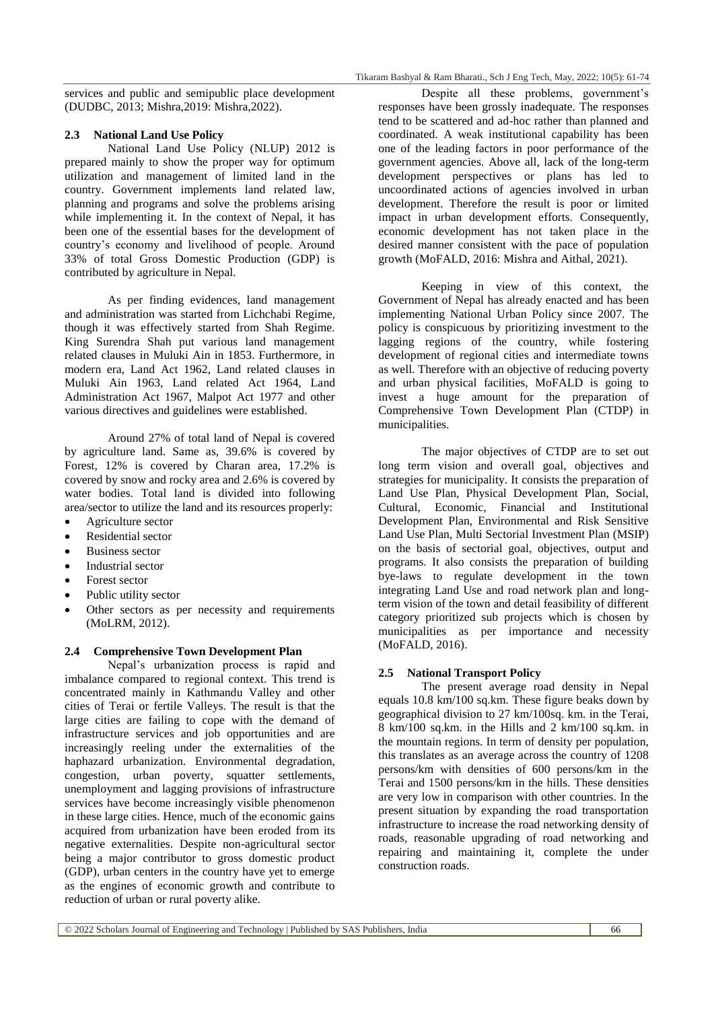services and public and semipublic place development (DUDBC, 2013; Mishra,2019: Mishra,2022).

#### **2.3 National Land Use Policy**

National Land Use Policy (NLUP) 2012 is prepared mainly to show the proper way for optimum utilization and management of limited land in the country. Government implements land related law, planning and programs and solve the problems arising while implementing it. In the context of Nepal, it has been one of the essential bases for the development of country's economy and livelihood of people. Around 33% of total Gross Domestic Production (GDP) is contributed by agriculture in Nepal.

As per finding evidences, land management and administration was started from Lichchabi Regime, though it was effectively started from Shah Regime. King Surendra Shah put various land management related clauses in Muluki Ain in 1853. Furthermore, in modern era, Land Act 1962, Land related clauses in Muluki Ain 1963, Land related Act 1964, Land Administration Act 1967, Malpot Act 1977 and other various directives and guidelines were established.

Around 27% of total land of Nepal is covered by agriculture land. Same as, 39.6% is covered by Forest, 12% is covered by Charan area, 17.2% is covered by snow and rocky area and 2.6% is covered by water bodies. Total land is divided into following area/sector to utilize the land and its resources properly:

- Agriculture sector
- Residential sector
- Business sector
- Industrial sector
- Forest sector
- Public utility sector
- Other sectors as per necessity and requirements (MoLRM, 2012).

## **2.4 Comprehensive Town Development Plan**

Nepal's urbanization process is rapid and imbalance compared to regional context. This trend is concentrated mainly in Kathmandu Valley and other cities of Terai or fertile Valleys. The result is that the large cities are failing to cope with the demand of infrastructure services and job opportunities and are increasingly reeling under the externalities of the haphazard urbanization. Environmental degradation, congestion, urban poverty, squatter settlements, unemployment and lagging provisions of infrastructure services have become increasingly visible phenomenon in these large cities. Hence, much of the economic gains acquired from urbanization have been eroded from its negative externalities. Despite non-agricultural sector being a major contributor to gross domestic product (GDP), urban centers in the country have yet to emerge as the engines of economic growth and contribute to reduction of urban or rural poverty alike.

Despite all these problems, government's responses have been grossly inadequate. The responses tend to be scattered and ad-hoc rather than planned and coordinated. A weak institutional capability has been one of the leading factors in poor performance of the government agencies. Above all, lack of the long-term development perspectives or plans has led to uncoordinated actions of agencies involved in urban development. Therefore the result is poor or limited impact in urban development efforts. Consequently, economic development has not taken place in the desired manner consistent with the pace of population growth (MoFALD, 2016: Mishra and Aithal, 2021).

Keeping in view of this context, the Government of Nepal has already enacted and has been implementing National Urban Policy since 2007. The policy is conspicuous by prioritizing investment to the lagging regions of the country, while fostering development of regional cities and intermediate towns as well. Therefore with an objective of reducing poverty and urban physical facilities, MoFALD is going to invest a huge amount for the preparation of Comprehensive Town Development Plan (CTDP) in municipalities.

The major objectives of CTDP are to set out long term vision and overall goal, objectives and strategies for municipality. It consists the preparation of Land Use Plan, Physical Development Plan, Social, Cultural, Economic, Financial and Institutional Development Plan, Environmental and Risk Sensitive Land Use Plan, Multi Sectorial Investment Plan (MSIP) on the basis of sectorial goal, objectives, output and programs. It also consists the preparation of building bye-laws to regulate development in the town integrating Land Use and road network plan and longterm vision of the town and detail feasibility of different category prioritized sub projects which is chosen by municipalities as per importance and necessity (MoFALD, 2016).

#### **2.5 National Transport Policy**

The present average road density in Nepal equals 10.8 km/100 sq.km. These figure beaks down by geographical division to 27 km/100sq. km. in the Terai, 8 km/100 sq.km. in the Hills and 2 km/100 sq.km. in the mountain regions. In term of density per population, this translates as an average across the country of 1208 persons/km with densities of 600 persons/km in the Terai and 1500 persons/km in the hills. These densities are very low in comparison with other countries. In the present situation by expanding the road transportation infrastructure to increase the road networking density of roads, reasonable upgrading of road networking and repairing and maintaining it, complete the under construction roads.

© 2022 Scholars Journal of Engineering and Technology | Published by SAS Publishers, India 66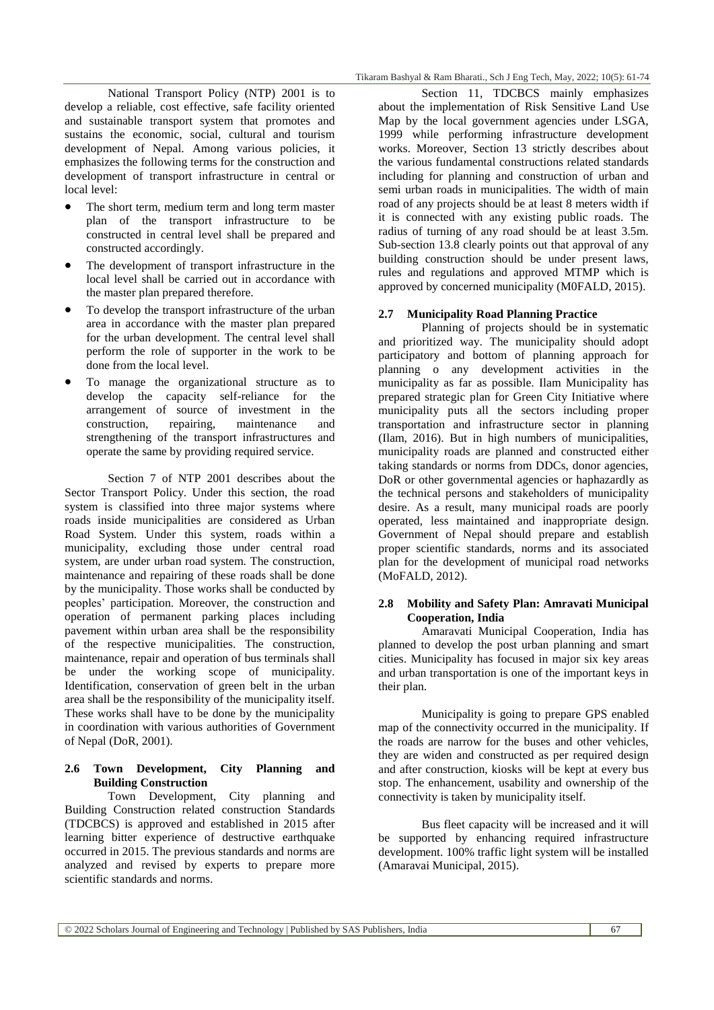National Transport Policy (NTP) 2001 is to develop a reliable, cost effective, safe facility oriented and sustainable transport system that promotes and sustains the economic, social, cultural and tourism development of Nepal. Among various policies, it emphasizes the following terms for the construction and development of transport infrastructure in central or local level:

- The short term, medium term and long term master plan of the transport infrastructure to be constructed in central level shall be prepared and constructed accordingly.
- The development of transport infrastructure in the local level shall be carried out in accordance with the master plan prepared therefore.
- To develop the transport infrastructure of the urban area in accordance with the master plan prepared for the urban development. The central level shall perform the role of supporter in the work to be done from the local level.
- To manage the organizational structure as to develop the capacity self-reliance for the arrangement of source of investment in the construction, repairing, maintenance and strengthening of the transport infrastructures and operate the same by providing required service.

Section 7 of NTP 2001 describes about the Sector Transport Policy. Under this section, the road system is classified into three major systems where roads inside municipalities are considered as Urban Road System. Under this system, roads within a municipality, excluding those under central road system, are under urban road system. The construction, maintenance and repairing of these roads shall be done by the municipality. Those works shall be conducted by peoples' participation. Moreover, the construction and operation of permanent parking places including pavement within urban area shall be the responsibility of the respective municipalities. The construction, maintenance, repair and operation of bus terminals shall be under the working scope of municipality. Identification, conservation of green belt in the urban area shall be the responsibility of the municipality itself. These works shall have to be done by the municipality in coordination with various authorities of Government of Nepal (DoR, 2001).

#### **2.6 Town Development, City Planning and Building Construction**

Town Development, City planning and Building Construction related construction Standards (TDCBCS) is approved and established in 2015 after learning bitter experience of destructive earthquake occurred in 2015. The previous standards and norms are analyzed and revised by experts to prepare more scientific standards and norms.

Section 11, TDCBCS mainly emphasizes about the implementation of Risk Sensitive Land Use Map by the local government agencies under LSGA, 1999 while performing infrastructure development works. Moreover, Section 13 strictly describes about the various fundamental constructions related standards including for planning and construction of urban and semi urban roads in municipalities. The width of main road of any projects should be at least 8 meters width if it is connected with any existing public roads. The radius of turning of any road should be at least 3.5m. Sub-section 13.8 clearly points out that approval of any building construction should be under present laws, rules and regulations and approved MTMP which is approved by concerned municipality (M0FALD, 2015).

#### **2.7 Municipality Road Planning Practice**

Planning of projects should be in systematic and prioritized way. The municipality should adopt participatory and bottom of planning approach for planning o any development activities in the municipality as far as possible. Ilam Municipality has prepared strategic plan for Green City Initiative where municipality puts all the sectors including proper transportation and infrastructure sector in planning (Ilam, 2016). But in high numbers of municipalities, municipality roads are planned and constructed either taking standards or norms from DDCs, donor agencies, DoR or other governmental agencies or haphazardly as the technical persons and stakeholders of municipality desire. As a result, many municipal roads are poorly operated, less maintained and inappropriate design. Government of Nepal should prepare and establish proper scientific standards, norms and its associated plan for the development of municipal road networks (MoFALD, 2012).

#### **2.8 Mobility and Safety Plan: Amravati Municipal Cooperation, India**

Amaravati Municipal Cooperation, India has planned to develop the post urban planning and smart cities. Municipality has focused in major six key areas and urban transportation is one of the important keys in their plan.

Municipality is going to prepare GPS enabled map of the connectivity occurred in the municipality. If the roads are narrow for the buses and other vehicles, they are widen and constructed as per required design and after construction, kiosks will be kept at every bus stop. The enhancement, usability and ownership of the connectivity is taken by municipality itself.

Bus fleet capacity will be increased and it will be supported by enhancing required infrastructure development. 100% traffic light system will be installed (Amaravai Municipal, 2015).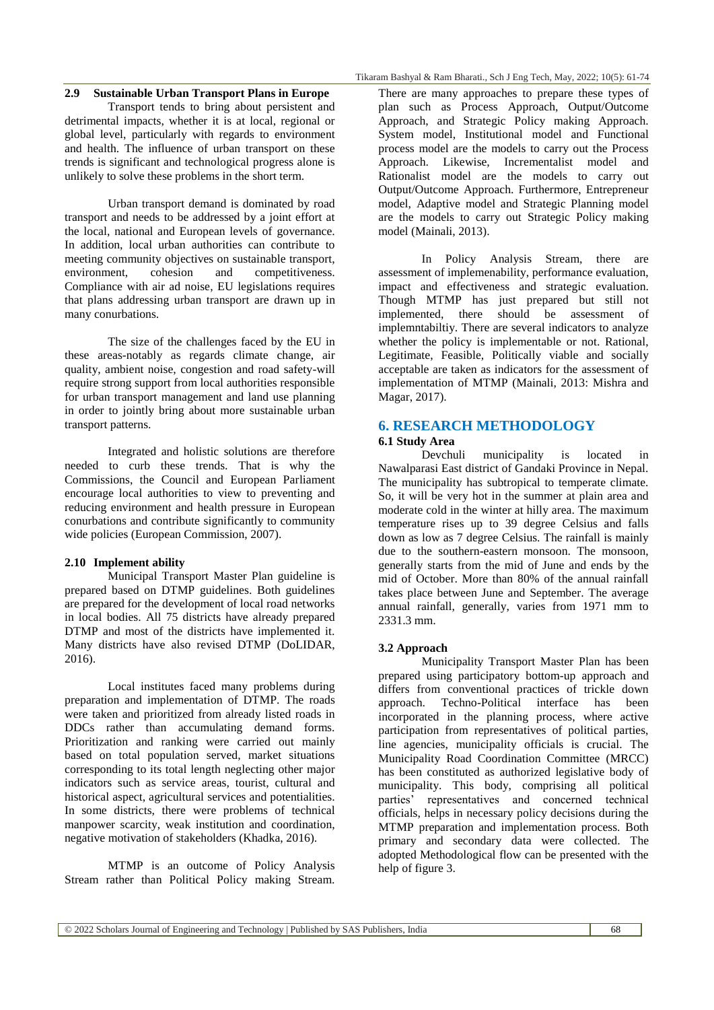#### **2.9 Sustainable Urban Transport Plans in Europe**

Transport tends to bring about persistent and detrimental impacts, whether it is at local, regional or global level, particularly with regards to environment and health. The influence of urban transport on these trends is significant and technological progress alone is unlikely to solve these problems in the short term.

Urban transport demand is dominated by road transport and needs to be addressed by a joint effort at the local, national and European levels of governance. In addition, local urban authorities can contribute to meeting community objectives on sustainable transport, environment, cohesion and competitiveness. Compliance with air ad noise, EU legislations requires that plans addressing urban transport are drawn up in many conurbations.

The size of the challenges faced by the EU in these areas-notably as regards climate change, air quality, ambient noise, congestion and road safety-will require strong support from local authorities responsible for urban transport management and land use planning in order to jointly bring about more sustainable urban transport patterns.

Integrated and holistic solutions are therefore needed to curb these trends. That is why the Commissions, the Council and European Parliament encourage local authorities to view to preventing and reducing environment and health pressure in European conurbations and contribute significantly to community wide policies (European Commission, 2007).

#### **2.10 Implement ability**

Municipal Transport Master Plan guideline is prepared based on DTMP guidelines. Both guidelines are prepared for the development of local road networks in local bodies. All 75 districts have already prepared DTMP and most of the districts have implemented it. Many districts have also revised DTMP (DoLIDAR, 2016).

Local institutes faced many problems during preparation and implementation of DTMP. The roads were taken and prioritized from already listed roads in DDCs rather than accumulating demand forms. Prioritization and ranking were carried out mainly based on total population served, market situations corresponding to its total length neglecting other major indicators such as service areas, tourist, cultural and historical aspect, agricultural services and potentialities. In some districts, there were problems of technical manpower scarcity, weak institution and coordination, negative motivation of stakeholders (Khadka, 2016).

MTMP is an outcome of Policy Analysis Stream rather than Political Policy making Stream. There are many approaches to prepare these types of plan such as Process Approach, Output/Outcome Approach, and Strategic Policy making Approach. System model, Institutional model and Functional process model are the models to carry out the Process Approach. Likewise, Incrementalist model and Rationalist model are the models to carry out Output/Outcome Approach. Furthermore, Entrepreneur model, Adaptive model and Strategic Planning model are the models to carry out Strategic Policy making model (Mainali, 2013).

In Policy Analysis Stream, there are assessment of implemenability, performance evaluation, impact and effectiveness and strategic evaluation. Though MTMP has just prepared but still not implemented, there should be assessment of implemntabiltiy. There are several indicators to analyze whether the policy is implementable or not. Rational, Legitimate, Feasible, Politically viable and socially acceptable are taken as indicators for the assessment of implementation of MTMP (Mainali, 2013: Mishra and Magar, 2017).

## **6. RESEARCH METHODOLOGY**

#### **6.1 Study Area**

Devchuli municipality is located in Nawalparasi East district of Gandaki Province in Nepal. The municipality has subtropical to temperate climate. So, it will be very hot in the summer at plain area and moderate cold in the winter at hilly area. The maximum temperature rises up to 39 degree Celsius and falls down as low as 7 degree Celsius. The rainfall is mainly due to the southern-eastern monsoon. The monsoon, generally starts from the mid of June and ends by the mid of October. More than 80% of the annual rainfall takes place between June and September. The average annual rainfall, generally, varies from 1971 mm to 2331.3 mm.

#### **3.2 Approach**

Municipality Transport Master Plan has been prepared using participatory bottom-up approach and differs from conventional practices of trickle down approach. Techno-Political interface has been incorporated in the planning process, where active participation from representatives of political parties, line agencies, municipality officials is crucial. The Municipality Road Coordination Committee (MRCC) has been constituted as authorized legislative body of municipality. This body, comprising all political parties' representatives and concerned technical officials, helps in necessary policy decisions during the MTMP preparation and implementation process. Both primary and secondary data were collected. The adopted Methodological flow can be presented with the help of figure 3.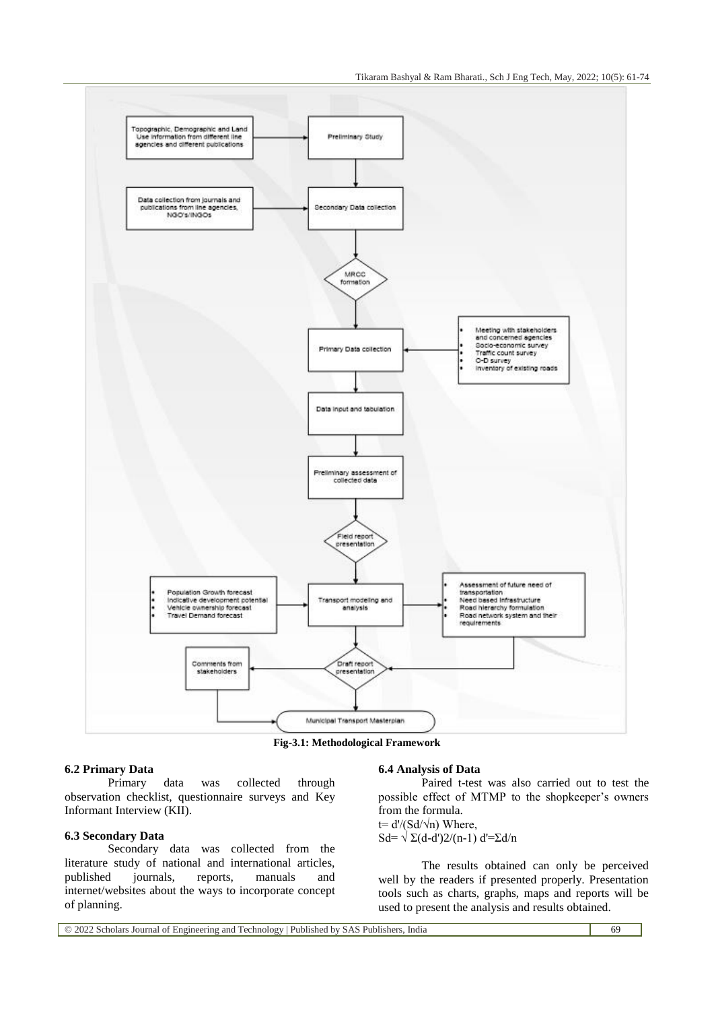Tikaram Bashyal & Ram Bharati., Sch J Eng Tech, May, 2022; 10(5): 61-74



**Fig-3.1: Methodological Framework**

#### **6.2 Primary Data**

Primary data was collected through observation checklist, questionnaire surveys and Key Informant Interview (KII).

#### **6.3 Secondary Data**

Secondary data was collected from the literature study of national and international articles, published journals, reports, manuals and internet/websites about the ways to incorporate concept of planning.

#### **6.4 Analysis of Data**

Paired t-test was also carried out to test the possible effect of MTMP to the shopkeeper's owners from the formula. t=  $d'/(Sd/\sqrt{n})$  Where,

Sd=  $\sqrt{\Sigma(d-d')2/(n-1)}$  d'= $\Sigma d/n$ 

The results obtained can only be perceived well by the readers if presented properly. Presentation tools such as charts, graphs, maps and reports will be used to present the analysis and results obtained.

© 2022 Scholars Journal of Engineering and Technology | Published by SAS Publishers, India 69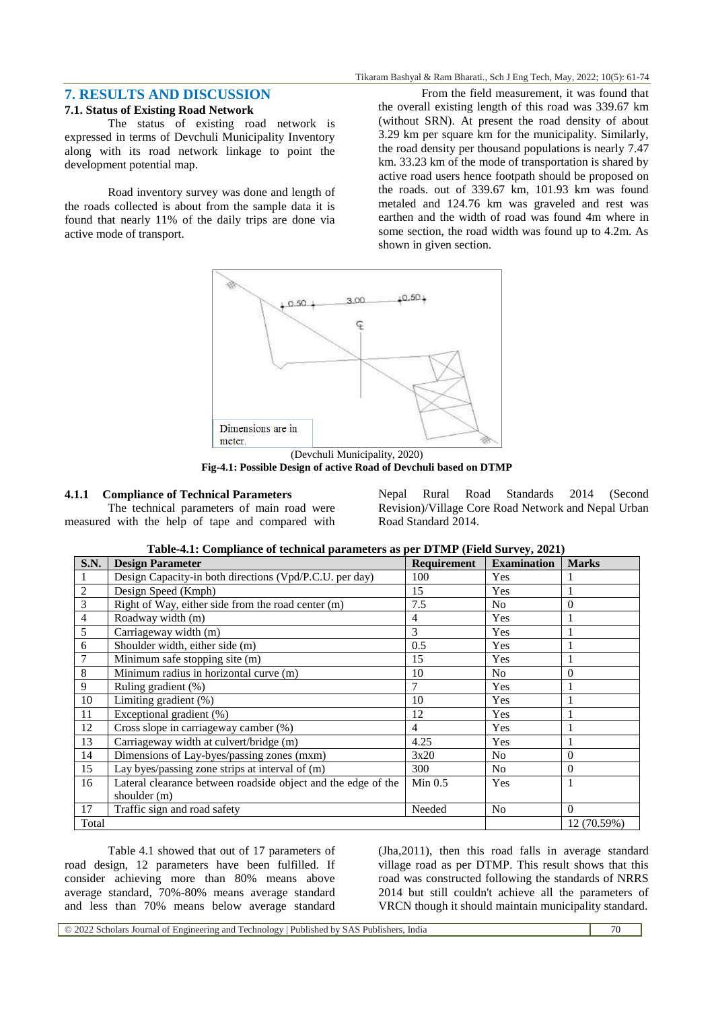## **7. RESULTS AND DISCUSSION**

#### **7.1. Status of Existing Road Network**

The status of existing road network is expressed in terms of Devchuli Municipality Inventory along with its road network linkage to point the development potential map.

Road inventory survey was done and length of the roads collected is about from the sample data it is found that nearly 11% of the daily trips are done via active mode of transport.

From the field measurement, it was found that the overall existing length of this road was 339.67 km (without SRN). At present the road density of about 3.29 km per square km for the municipality. Similarly, the road density per thousand populations is nearly 7.47 km. 33.23 km of the mode of transportation is shared by active road users hence footpath should be proposed on the roads. out of 339.67 km, 101.93 km was found metaled and 124.76 km was graveled and rest was earthen and the width of road was found 4m where in some section, the road width was found up to 4.2m. As shown in given section.



(Devchuli Municipality, 2020) **Fig-4.1: Possible Design of active Road of Devchuli based on DTMP**

#### **4.1.1 Compliance of Technical Parameters**

The technical parameters of main road were measured with the help of tape and compared with Nepal Rural Road Standards 2014 (Second Revision)/Village Core Road Network and Nepal Urban Road Standard 2014.

| <b>S.N.</b>    | <b>Design Parameter</b>                                       | <b>Requirement</b> | <b>Examination</b> | <b>Marks</b> |
|----------------|---------------------------------------------------------------|--------------------|--------------------|--------------|
|                | Design Capacity-in both directions (Vpd/P.C.U. per day)       | 100                | Yes                |              |
| $\overline{c}$ | Design Speed (Kmph)                                           | 15                 | Yes                | 1            |
| 3              | Right of Way, either side from the road center (m)            | 7.5                | N <sub>o</sub>     | $\Omega$     |
| 4              | Roadway width (m)                                             | $\overline{4}$     | Yes                |              |
| 5              | Carriageway width (m)                                         | 3                  | Yes                |              |
| 6              | Shoulder width, either side (m)                               | 0.5                | Yes                |              |
| 7              | Minimum safe stopping site (m)                                | 15                 | Yes                |              |
| 8              | Minimum radius in horizontal curve (m)                        | 10                 | N <sub>o</sub>     | $\Omega$     |
| 9              | Ruling gradient (%)                                           | 7                  | Yes                |              |
| 10             | Limiting gradient (%)                                         | 10                 | Yes                | 1            |
| 11             | Exceptional gradient (%)                                      | 12                 | Yes                |              |
| 12             | Cross slope in carriageway camber (%)                         | $\overline{4}$     | Yes                |              |
| 13             | Carriageway width at culvert/bridge (m)                       | 4.25               | Yes                |              |
| 14             | Dimensions of Lay-byes/passing zones (mxm)                    | 3x20               | N <sub>o</sub>     | $\Omega$     |
| 15             | Lay byes/passing zone strips at interval of (m)               | 300                | N <sub>o</sub>     | $\Omega$     |
| 16             | Lateral clearance between roadside object and the edge of the | Min 0.5            | Yes                |              |
|                | shoulder (m)                                                  |                    |                    |              |
| 17             | Traffic sign and road safety                                  | Needed             | N <sub>0</sub>     | $\Omega$     |
| Total          |                                                               |                    |                    | 12 (70.59%)  |

Table 4.1 showed that out of 17 parameters of road design, 12 parameters have been fulfilled. If consider achieving more than 80% means above average standard, 70%-80% means average standard and less than 70% means below average standard

(Jha,2011), then this road falls in average standard village road as per DTMP. This result shows that this road was constructed following the standards of NRRS 2014 but still couldn't achieve all the parameters of VRCN though it should maintain municipality standard.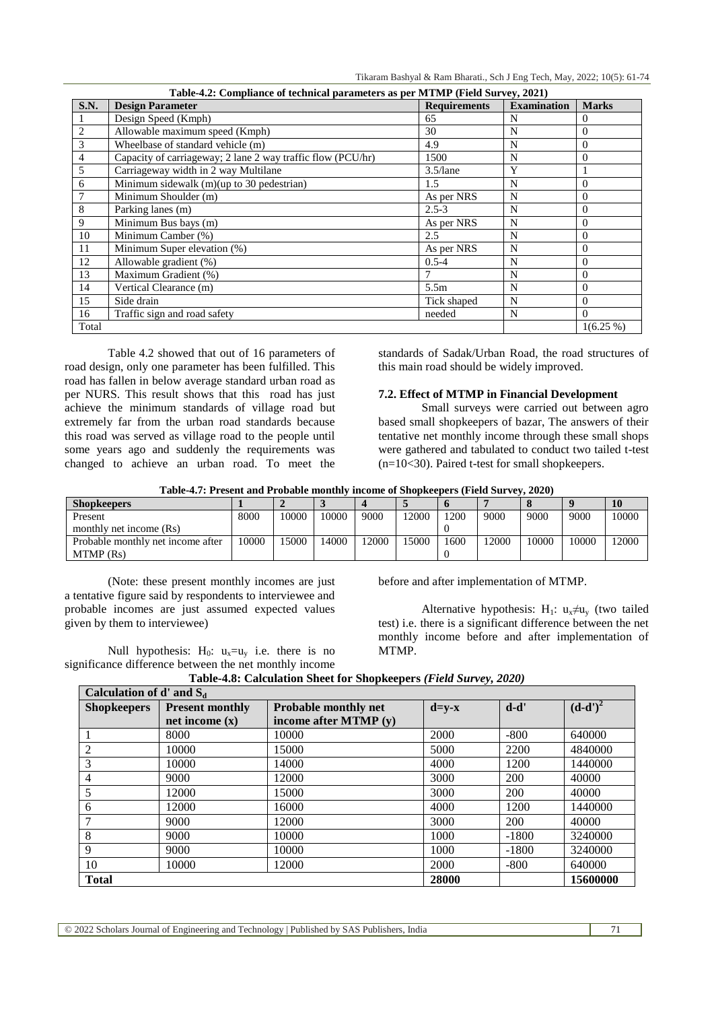Tikaram Bashyal & Ram Bharati., Sch J Eng Tech, May, 2022; 10(5): 61-74

| Table-4.2: Compliance of technical parameters as per MTMP (Field Survey, 2021) |                                                             |                     |                    |                |  |  |  |
|--------------------------------------------------------------------------------|-------------------------------------------------------------|---------------------|--------------------|----------------|--|--|--|
| S.N.                                                                           | <b>Design Parameter</b>                                     | <b>Requirements</b> | <b>Examination</b> | <b>Marks</b>   |  |  |  |
|                                                                                | Design Speed (Kmph)                                         | 65                  | N                  | 0              |  |  |  |
| 2                                                                              | Allowable maximum speed (Kmph)                              | 30                  | N                  | $\Omega$       |  |  |  |
| 3                                                                              | Wheelbase of standard vehicle (m)                           | 4.9                 | N                  | $\Omega$       |  |  |  |
| 4                                                                              | Capacity of carriageway; 2 lane 2 way traffic flow (PCU/hr) | 1500                | N                  | $\overline{0}$ |  |  |  |
| 5                                                                              | Carriageway width in 2 way Multilane                        | $3.5/$ lane         | Y                  |                |  |  |  |
| 6                                                                              | Minimum sidewalk (m)(up to 30 pedestrian)                   | 1.5                 | N                  | $\Omega$       |  |  |  |
|                                                                                | Minimum Shoulder (m)                                        | As per NRS          | N                  | $\Omega$       |  |  |  |
| 8                                                                              | Parking lanes (m)                                           | $2.5 - 3$           | N                  | $\Omega$       |  |  |  |
| 9                                                                              | Minimum Bus bays (m)                                        | As per NRS          | N                  | $\Omega$       |  |  |  |
| 10                                                                             | Minimum Camber (%)                                          | 2.5                 | N                  | $\Omega$       |  |  |  |
| 11                                                                             | Minimum Super elevation (%)                                 | As per NRS          | N                  | $\Omega$       |  |  |  |
| 12                                                                             | Allowable gradient (%)                                      | $0.5 - 4$           | N                  | $\Omega$       |  |  |  |
| 13                                                                             | Maximum Gradient (%)                                        |                     | N                  | $\Omega$       |  |  |  |
| 14                                                                             | Vertical Clearance (m)                                      | 5.5 <sub>m</sub>    | N                  | $\Omega$       |  |  |  |
| 15                                                                             | Side drain                                                  | Tick shaped         | N                  | $\Omega$       |  |  |  |
| 16                                                                             | Traffic sign and road safety                                | needed              | N                  | $\Omega$       |  |  |  |
| Total                                                                          |                                                             |                     |                    | $1(6.25\%)$    |  |  |  |

Table 4.2 showed that out of 16 parameters of road design, only one parameter has been fulfilled. This road has fallen in below average standard urban road as per NURS. This result shows that this road has just achieve the minimum standards of village road but extremely far from the urban road standards because this road was served as village road to the people until some years ago and suddenly the requirements was changed to achieve an urban road. To meet the standards of Sadak/Urban Road, the road structures of this main road should be widely improved.

#### **7.2. Effect of MTMP in Financial Development**

Small surveys were carried out between agro based small shopkeepers of bazar, The answers of their tentative net monthly income through these small shops were gathered and tabulated to conduct two tailed t-test (n=10<30). Paired t-test for small shopkeepers.

| Table-4.7: Present and Probable monthly income of Shopkeepers (Field Survey, 2020) |  |  |
|------------------------------------------------------------------------------------|--|--|
|                                                                                    |  |  |

| <b>Shopkeepers</b>                |       |       |       |       |       |      |       |       |       |       |
|-----------------------------------|-------|-------|-------|-------|-------|------|-------|-------|-------|-------|
| Present                           | 8000  | 10000 | 10000 | 9000  | 12000 | 1200 | 9000  | 9000  | 9000  | 10000 |
| monthly net income (Rs)           |       |       |       |       |       |      |       |       |       |       |
| Probable monthly net income after | 10000 | 15000 | 14000 | 12000 | 15000 | 1600 | 12000 | 10000 | 10000 | 12000 |
| MTMP (Rs)                         |       |       |       |       |       |      |       |       |       |       |

(Note: these present monthly incomes are just a tentative figure said by respondents to interviewee and probable incomes are just assumed expected values given by them to interviewee)

Null hypothesis:  $H_0$ :  $u_x = u_y$  i.e. there is no significance difference between the net monthly income before and after implementation of MTMP.

Alternative hypothesis: H<sub>1</sub>: u<sub>x</sub>≠u<sub>v</sub> (two tailed test) i.e. there is a significant difference between the net monthly income before and after implementation of MTMP.

| Table-4.8: Calculation Sheet for Shopkeepers (Field Survey, 2020) |  |
|-------------------------------------------------------------------|--|
| Calculation of $d'$ and $S_d$                                     |  |

| Canculation of a and ba |                        |                             |             |         |            |  |  |
|-------------------------|------------------------|-----------------------------|-------------|---------|------------|--|--|
| <b>Shopkeepers</b>      | <b>Present monthly</b> | <b>Probable monthly net</b> | $d = y - x$ | $d-d'$  | $(d-d')^2$ |  |  |
|                         | net income $(x)$       | income after MTMP $(y)$     |             |         |            |  |  |
|                         | 8000                   | 10000                       | 2000        | $-800$  | 640000     |  |  |
| 2                       | 10000                  | 15000                       | 5000        | 2200    | 4840000    |  |  |
| 3                       | 10000                  | 14000                       | 4000        | 1200    | 1440000    |  |  |
| 4                       | 9000                   | 12000                       | 3000        | 200     | 40000      |  |  |
|                         | 12000                  | 15000                       | 3000        | 200     | 40000      |  |  |
| 6                       | 12000                  | 16000                       | 4000        | 1200    | 1440000    |  |  |
|                         | 9000                   | 12000                       | 3000        | 200     | 40000      |  |  |
| 8                       | 9000                   | 10000                       | 1000        | $-1800$ | 3240000    |  |  |
| 9                       | 9000                   | 10000                       | 1000        | $-1800$ | 3240000    |  |  |
| 10                      | 10000                  | 12000                       | 2000        | $-800$  | 640000     |  |  |
| <b>Total</b>            |                        |                             | 28000       |         | 15600000   |  |  |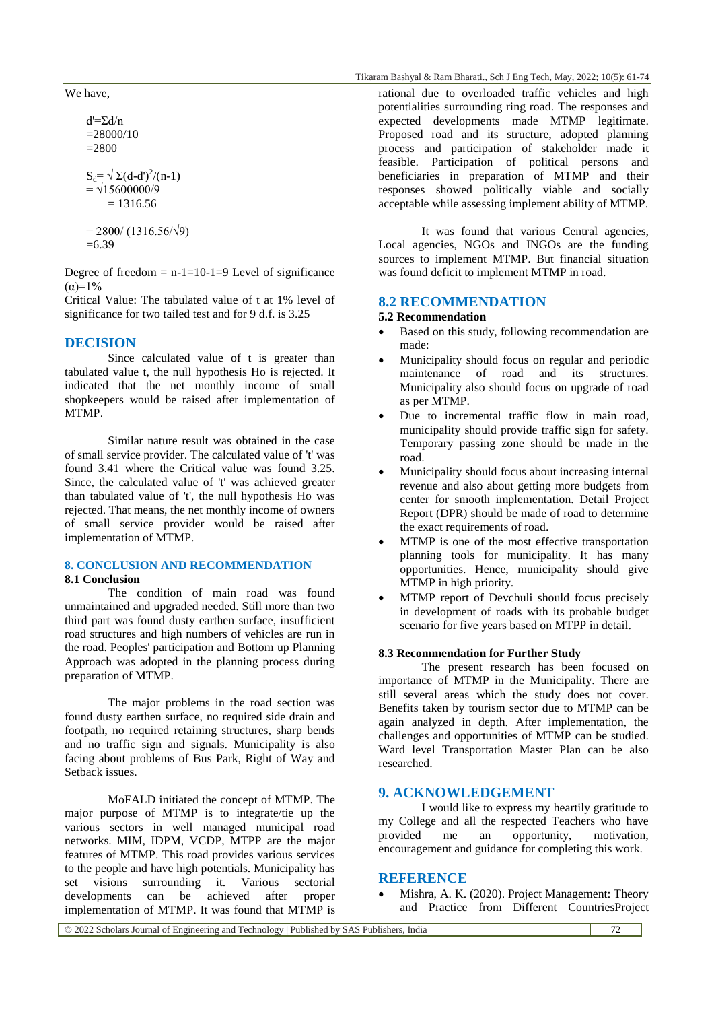We have,

 $d' = \sum d/n$  $=28000/10$  $=2800$ 

 $S_d = \sqrt{\Sigma (d-d')^2/(n-1)}$  $= \sqrt{15600000/9}$  $= 1316.56$ 

 $= 2800/(1316.56/\sqrt{9})$  $=6.39$ 

Degree of freedom  $= n-1=10-1=9$  Level of significance  $(\alpha)=1\%$ 

Critical Value: The tabulated value of t at 1% level of significance for two tailed test and for 9 d.f. is 3.25

## **DECISION**

Since calculated value of t is greater than tabulated value t, the null hypothesis Ho is rejected. It indicated that the net monthly income of small shopkeepers would be raised after implementation of MTMP.

Similar nature result was obtained in the case of small service provider. The calculated value of 't' was found 3.41 where the Critical value was found 3.25. Since, the calculated value of 't' was achieved greater than tabulated value of 't', the null hypothesis Ho was rejected. That means, the net monthly income of owners of small service provider would be raised after implementation of MTMP.

# **8. CONCLUSION AND RECOMMENDATION**

### **8.1 Conclusion**

The condition of main road was found unmaintained and upgraded needed. Still more than two third part was found dusty earthen surface, insufficient road structures and high numbers of vehicles are run in the road. Peoples' participation and Bottom up Planning Approach was adopted in the planning process during preparation of MTMP.

The major problems in the road section was found dusty earthen surface, no required side drain and footpath, no required retaining structures, sharp bends and no traffic sign and signals. Municipality is also facing about problems of Bus Park, Right of Way and Setback issues.

MoFALD initiated the concept of MTMP. The major purpose of MTMP is to integrate/tie up the various sectors in well managed municipal road networks. MIM, IDPM, VCDP, MTPP are the major features of MTMP. This road provides various services to the people and have high potentials. Municipality has set visions surrounding it. Various sectorial developments can be achieved after proper implementation of MTMP. It was found that MTMP is

rational due to overloaded traffic vehicles and high potentialities surrounding ring road. The responses and expected developments made MTMP legitimate. Proposed road and its structure, adopted planning process and participation of stakeholder made it feasible. Participation of political persons and beneficiaries in preparation of MTMP and their responses showed politically viable and socially acceptable while assessing implement ability of MTMP.

It was found that various Central agencies, Local agencies, NGOs and INGOs are the funding sources to implement MTMP. But financial situation was found deficit to implement MTMP in road.

#### **8.2 RECOMMENDATION**

#### **5.2 Recommendation**

- Based on this study, following recommendation are made:
- Municipality should focus on regular and periodic maintenance of road and its structures. Municipality also should focus on upgrade of road as per MTMP.
- Due to incremental traffic flow in main road, municipality should provide traffic sign for safety. Temporary passing zone should be made in the road.
- Municipality should focus about increasing internal revenue and also about getting more budgets from center for smooth implementation. Detail Project Report (DPR) should be made of road to determine the exact requirements of road.
- MTMP is one of the most effective transportation planning tools for municipality. It has many opportunities. Hence, municipality should give MTMP in high priority.
- MTMP report of Devchuli should focus precisely in development of roads with its probable budget scenario for five years based on MTPP in detail.

#### **8.3 Recommendation for Further Study**

The present research has been focused on importance of MTMP in the Municipality. There are still several areas which the study does not cover. Benefits taken by tourism sector due to MTMP can be again analyzed in depth. After implementation, the challenges and opportunities of MTMP can be studied. Ward level Transportation Master Plan can be also researched.

### **9. ACKNOWLEDGEMENT**

I would like to express my heartily gratitude to my College and all the respected Teachers who have provided me an opportunity, motivation, encouragement and guidance for completing this work.

#### **REFERENCE**

 Mishra, A. K. (2020). Project Management: Theory and Practice from Different CountriesProject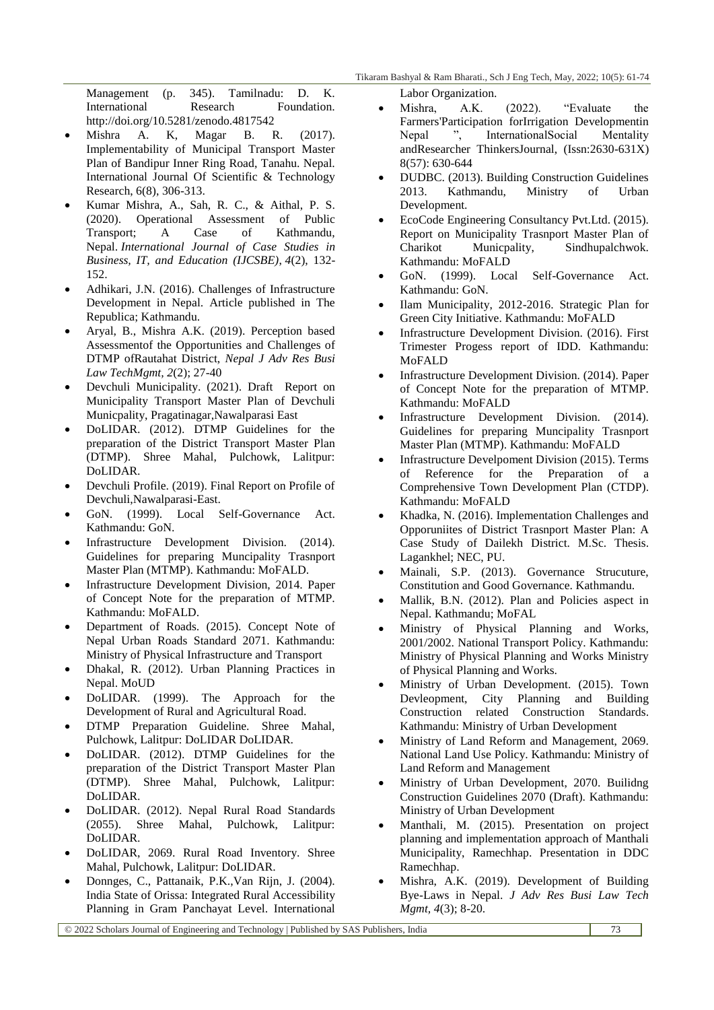Management (p. 345). Tamilnadu: D. K. International Research Foundation. http://doi.org/10.5281/zenodo.4817542

- Mishra A. K, Magar B. R. (2017). Implementability of Municipal Transport Master Plan of Bandipur Inner Ring Road, Tanahu. Nepal. International Journal Of Scientific & Technology Research, 6(8), 306-313.
- Kumar Mishra, A., Sah, R. C., & Aithal, P. S. (2020). Operational Assessment of Public Transport; A Case of Kathmandu, Nepal. *International Journal of Case Studies in Business, IT, and Education (IJCSBE)*, *4*(2), 132- 152.
- Adhikari, J.N. (2016). Challenges of Infrastructure Development in Nepal. Article published in The Republica; Kathmandu.
- Aryal, B., Mishra A.K. (2019). Perception based Assessmentof the Opportunities and Challenges of DTMP ofRautahat District, *Nepal J Adv Res Busi Law TechMgmt, 2*(2); 27-40
- Devchuli Municipality. (2021). Draft Report on Municipality Transport Master Plan of Devchuli Municpality, Pragatinagar,Nawalparasi East
- DoLIDAR. (2012). DTMP Guidelines for the preparation of the District Transport Master Plan (DTMP). Shree Mahal, Pulchowk, Lalitpur: DoLIDAR.
- Devchuli Profile. (2019). Final Report on Profile of Devchuli,Nawalparasi-East.
- GoN. (1999). Local Self-Governance Act. Kathmandu: GoN.
- Infrastructure Development Division. (2014). Guidelines for preparing Muncipality Trasnport Master Plan (MTMP). Kathmandu: MoFALD.
- Infrastructure Development Division, 2014. Paper of Concept Note for the preparation of MTMP. Kathmandu: MoFALD.
- Department of Roads. (2015). Concept Note of Nepal Urban Roads Standard 2071. Kathmandu: Ministry of Physical Infrastructure and Transport
- Dhakal, R. (2012). Urban Planning Practices in Nepal. MoUD
- DoLIDAR. (1999). The Approach for the Development of Rural and Agricultural Road.
- DTMP Preparation Guideline. Shree Mahal, Pulchowk, Lalitpur: DoLIDAR DoLIDAR.
- DoLIDAR. (2012). DTMP Guidelines for the preparation of the District Transport Master Plan (DTMP). Shree Mahal, Pulchowk, Lalitpur: DoLIDAR.
- DoLIDAR. (2012). Nepal Rural Road Standards (2055). Shree Mahal, Pulchowk, Lalitpur: DoLIDAR.
- DoLIDAR, 2069. Rural Road Inventory. Shree Mahal, Pulchowk, Lalitpur: DoLIDAR.
- Donnges, C., Pattanaik, P.K.,Van Rijn, J. (2004). India State of Orissa: Integrated Rural Accessibility Planning in Gram Panchayat Level. International

Labor Organization.

- Mishra, A.K. (2022). "Evaluate the Farmers'Participation forIrrigation Developmentin Nepal ", InternationalSocial Mentality andResearcher ThinkersJournal, (Issn:2630-631X) 8(57): 630-644
- DUDBC. (2013). Building Construction Guidelines 2013. Kathmandu, Ministry of Urban Development.
- EcoCode Engineering Consultancy Pvt.Ltd. (2015). Report on Municipality Trasnport Master Plan of Charikot Municpality, Sindhupalchwok. Kathmandu: MoFALD
- GoN. (1999). Local Self-Governance Act. Kathmandu: GoN.
- Ilam Municipality, 2012-2016. Strategic Plan for Green City Initiative. Kathmandu: MoFALD
- Infrastructure Development Division. (2016). First Trimester Progess report of IDD. Kathmandu: MoFALD
- Infrastructure Development Division. (2014). Paper of Concept Note for the preparation of MTMP. Kathmandu: MoFALD
- Infrastructure Development Division. (2014). Guidelines for preparing Muncipality Trasnport Master Plan (MTMP). Kathmandu: MoFALD
- Infrastructure Develpoment Division (2015). Terms of Reference for the Preparation of a Comprehensive Town Development Plan (CTDP). Kathmandu: MoFALD
- Khadka, N. (2016). Implementation Challenges and Opporuniites of District Trasnport Master Plan: A Case Study of Dailekh District. M.Sc. Thesis. Lagankhel; NEC, PU.
- Mainali, S.P. (2013). Governance Strucuture, Constitution and Good Governance. Kathmandu.
- Mallik, B.N. (2012). Plan and Policies aspect in Nepal. Kathmandu; MoFAL
- Ministry of Physical Planning and Works, 2001/2002. National Transport Policy. Kathmandu: Ministry of Physical Planning and Works Ministry of Physical Planning and Works.
- Ministry of Urban Development. (2015). Town Devleopment, City Planning and Building Construction related Construction Standards. Kathmandu: Ministry of Urban Development
- Ministry of Land Reform and Management, 2069. National Land Use Policy. Kathmandu: Ministry of Land Reform and Management
- Ministry of Urban Development, 2070. Builidng Construction Guidelines 2070 (Draft). Kathmandu: Ministry of Urban Development
- Manthali, M. (2015). Presentation on project planning and implementation approach of Manthali Municipality, Ramechhap. Presentation in DDC Ramechhap.
- Mishra, A.K. (2019). Development of Building Bye-Laws in Nepal. *J Adv Res Busi Law Tech Mgmt, 4*(3); 8-20.

© 2022 Scholars Journal of Engineering and Technology | Published by SAS Publishers, India 73